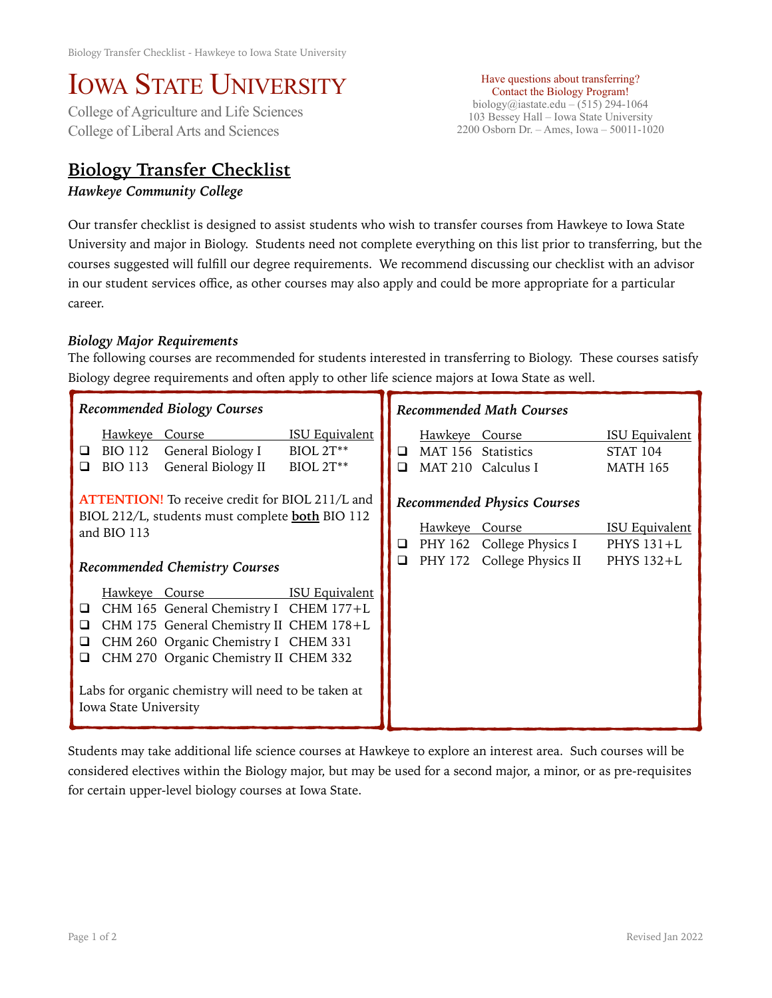# IOWA STATE UNIVERSITY<br>College of Agriculture and Life Sciences

College of Liberal Arts and Sciences

## **Biology Transfer Checklist**

#### *Hawkeye Community College*

Have questions about transferring? Contact the Biology Program! biology@iastate.edu – (515) 294-1064 103 Bessey Hall – Iowa State University 2200 Osborn Dr. – Ames, Iowa – 50011-1020

Our transfer checklist is designed to assist students who wish to transfer courses from Hawkeye to Iowa State University and major in Biology. Students need not complete everything on this list prior to transferring, but the courses suggested will fulfill our degree requirements. We recommend discussing our checklist with an advisor in our student services office, as other courses may also apply and could be more appropriate for a particular career.

### *Biology Major Requirements*

The following courses are recommended for students interested in transferring to Biology. These courses satisfy Biology degree requirements and often apply to other life science majors at Iowa State as well.

| Recommended Biology Courses                                                                                                                                                                                                                                                                                       | <b>Recommended Math Courses</b>                                                                                                                                                                 |  |  |  |
|-------------------------------------------------------------------------------------------------------------------------------------------------------------------------------------------------------------------------------------------------------------------------------------------------------------------|-------------------------------------------------------------------------------------------------------------------------------------------------------------------------------------------------|--|--|--|
| <b>ISU Equivalent</b><br><b>Hawkeye</b><br>Course<br>$BIOL 2T***$<br><b>BIO 112</b><br>General Biology I<br>❏<br>General Biology II<br>$BIOL 2T**$<br><b>BIO 113</b><br>◻                                                                                                                                         | <b>ISU Equivalent</b><br>Hawkeye Course<br>MAT 156 Statistics<br><b>STAT 104</b><br>□<br><b>MAT 210</b><br>Calculus I<br><b>MATH 165</b><br>◻                                                   |  |  |  |
| <b>ATTENTION!</b> To receive credit for BIOL 211/L and<br>BIOL 212/L, students must complete <b>both</b> BIO 112<br>and BIO 113<br>Recommended Chemistry Courses                                                                                                                                                  | <b>Recommended Physics Courses</b><br><b>ISU Equivalent</b><br><u>Hawkeye</u><br>Course<br>PHY 162 College Physics I<br>PHYS $131+L$<br>⊔<br>PHY 172 College Physics II<br>$\Box$<br>PHYS 132+L |  |  |  |
| <b>ISU Equivalent</b><br>Hawkeye Course<br>CHM 165 General Chemistry I CHEM 177+L<br>⊔<br>CHM 175 General Chemistry II CHEM 178+L<br>□<br>CHM 260 Organic Chemistry I CHEM 331<br>□<br>CHM 270 Organic Chemistry II CHEM 332<br>⊔<br>Labs for organic chemistry will need to be taken at<br>Iowa State University |                                                                                                                                                                                                 |  |  |  |

Students may take additional life science courses at Hawkeye to explore an interest area. Such courses will be considered electives within the Biology major, but may be used for a second major, a minor, or as pre-requisites for certain upper-level biology courses at Iowa State.